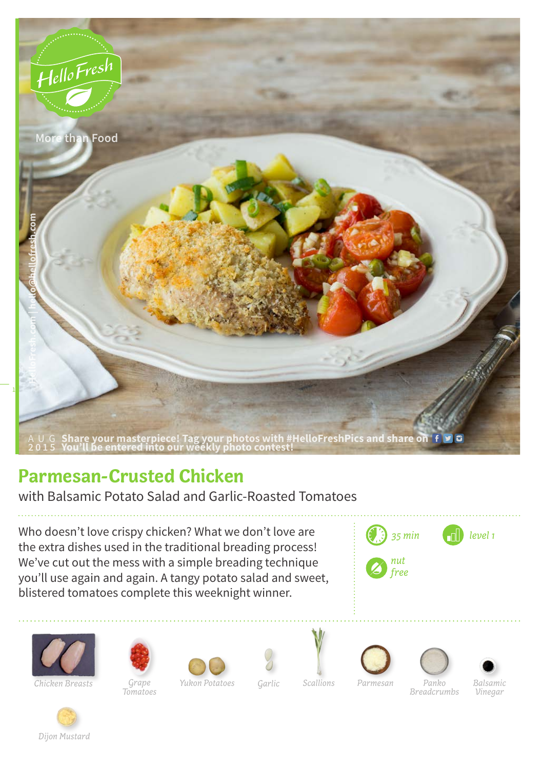

## **Parmesan-Crusted Chicken**

with Balsamic Potato Salad and Garlic-Roasted Tomatoes

Who doesn't love crispy chicken? What we don't love are the extra dishes used in the traditional breading process! We've cut out the mess with a simple breading technique you'll use again and again. A tangy potato salad and sweet, blistered tomatoes complete this weeknight winner.





*Chicken Breasts Grape* 



*Tomatoes*











*Yukon Potatoes Garlic Scallions Parmesan Panko*

*Breadcrumbs*

*Balsamic Vinegar*

*Dijon Mustard*